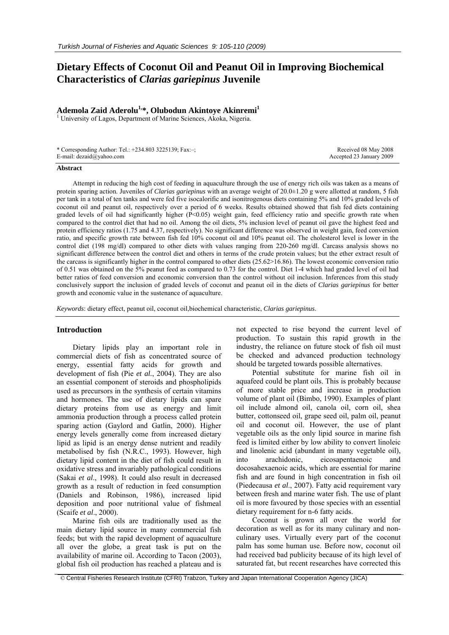# **Dietary Effects of Coconut Oil and Peanut Oil in Improving Biochemical Characteristics of** *Clarias gariepinus* **Juvenile**

# Ademola Zaid Aderolu<sup>1,\*</sup>, Olubodun Akintoye Akinremi<sup>1</sup>

<sup>1</sup> University of Lagos, Department of Marine Sciences, Akoka, Nigeria.

| * Corresponding Author: Tel.: $+234.803$ 3225139; Fax: $-$ ; | Received 08 May 2008     |
|--------------------------------------------------------------|--------------------------|
| E-mail: $dezaid@yahoo.com$                                   | Accepted 23 January 2009 |

#### **Abstract**

Attempt in reducing the high cost of feeding in aquaculture through the use of energy rich oils was taken as a means of protein sparing action. Juveniles of *Clarias gariepinus* with an average weight of 20.0±1.20 g were allotted at random, 5 fish per tank in a total of ten tanks and were fed five isocalorific and isonitrogenous diets containing 5% and 10% graded levels of coconut oil and peanut oil, respectively over a period of 6 weeks. Results obtained showed that fish fed diets containing graded levels of oil had significantly higher (P<0.05) weight gain, feed efficiency ratio and specific growth rate when compared to the control diet that had no oil. Among the oil diets, 5% inclusion level of peanut oil gave the highest feed and protein efficiency ratios (1.75 and 4.37, respectively). No significant difference was observed in weight gain, feed conversion ratio, and specific growth rate between fish fed 10% coconut oil and 10% peanut oil. The cholesterol level is lower in the control diet (198 mg/dl) compared to other diets with values ranging from 220-260 mg/dl. Carcass analysis shows no significant difference between the control diet and others in terms of the crude protein values; but the ether extract result of the carcass is significantly higher in the control compared to other diets  $(25.62>16.86)$ . The lowest economic conversion ratio of 0.51 was obtained on the 5% peanut feed as compared to 0.73 for the control. Diet 1-4 which had graded level of oil had better ratios of feed conversion and economic conversion than the control without oil inclusion. Inferences from this study conclusively support the inclusion of graded levels of coconut and peanut oil in the diets of *Clarias gariepinus* for better growth and economic value in the sustenance of aquaculture.

*Keywords*: dietary effect, peanut oil, coconut oil,biochemical characteristic, *Clarias gariepinus*.

### **Introduction**

Dietary lipids play an important role in commercial diets of fish as concentrated source of energy, essential fatty acids for growth and development of fish (Pie *et al.*, 2004). They are also an essential component of steroids and phospholipids used as precursors in the synthesis of certain vitamins and hormones. The use of dietary lipids can spare dietary proteins from use as energy and limit ammonia production through a process called protein sparing action (Gaylord and Gatlin, 2000). Higher energy levels generally come from increased dietary lipid as lipid is an energy dense nutrient and readily metabolised by fish (N.R.C., 1993). However, high dietary lipid content in the diet of fish could result in oxidative stress and invariably pathological conditions (Sakai *et al*., 1998). It could also result in decreased growth as a result of reduction in feed consumption (Daniels and Robinson, 1986), increased lipid deposition and poor nutritional value of fishmeal (Scaife *et al*., 2000).

Marine fish oils are traditionally used as the main dietary lipid source in many commercial fish feeds; but with the rapid development of aquaculture all over the globe, a great task is put on the availability of marine oil. According to Tacon (2003), global fish oil production has reached a plateau and is not expected to rise beyond the current level of production. To sustain this rapid growth in the industry, the reliance on future stock of fish oil must be checked and advanced production technology should be targeted towards possible alternatives.

Potential substitute for marine fish oil in aquafeed could be plant oils. This is probably because of more stable price and increase in production volume of plant oil (Bimbo, 1990). Examples of plant oil include almond oil, canola oil, corn oil, shea butter, cottonseed oil, grape seed oil, palm oil, peanut oil and coconut oil. However, the use of plant vegetable oils as the only lipid source in marine fish feed is limited either by low ability to convert linoleic and linolenic acid (abundant in many vegetable oil), into arachidonic, eicosapentaenoic and docosahexaenoic acids, which are essential for marine fish and are found in high concentration in fish oil (Piedecausa *et al*., 2007). Fatty acid requirement vary between fresh and marine water fish. The use of plant oil is more favoured by those species with an essential dietary requirement for n-6 fatty acids.

Coconut is grown all over the world for decoration as well as for its many culinary and nonculinary uses. Virtually every part of the coconut palm has some human use. Before now, coconut oil had received bad publicity because of its high level of saturated fat, but recent researches have corrected this

© Central Fisheries Research Institute (CFRI) Trabzon, Turkey and Japan International Cooperation Agency (JICA)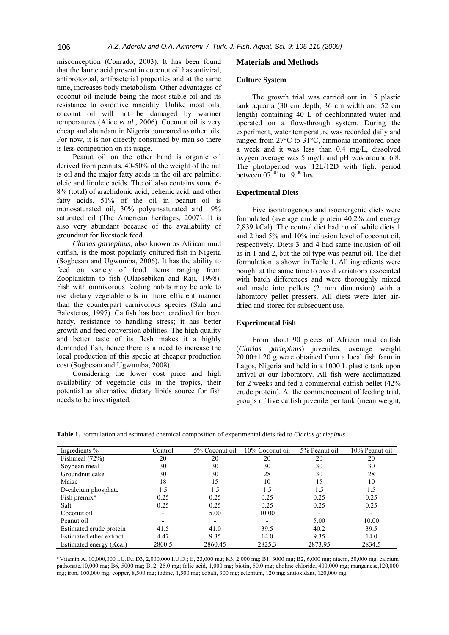misconception (Conrado, 2003). It has been found that the lauric acid present in coconut oil has antiviral, antiprotozoal, antibacterial properties and at the same time, increases body metabolism. Other advantages of coconut oil include being the most stable oil and its resistance to oxidative rancidity. Unlike most oils, coconut oil will not be damaged by warmer temperatures (Alice *et al.*, 2006). Coconut oil is very cheap and abundant in Nigeria compared to other oils. For now, it is not directly consumed by man so there is less competition on its usage.

Peanut oil on the other hand is organic oil derived from peanuts. 40-50% of the weight of the nut is oil and the major fatty acids in the oil are palmitic, oleic and linoleic acids. The oil also contains some 6- 8% (total) of arachidonic acid, behenic acid, and other fatty acids. 51% of the oil in peanut oil is monosaturated oil, 30% polyunsaturated and 19% saturated oil (The American heritages, 2007). It is also very abundant because of the availability of groundnut for livestock feed.

*Clarias gariepinus*, also known as African mud catfish, is the most popularly cultured fish in Nigeria (Sogbesan and Ugwumba, 2006). It has the ability to feed on variety of food items ranging from Zooplankton to fish (Olaosebikan and Raji, 1998). Fish with omnivorous feeding habits may be able to use dietary vegetable oils in more efficient manner than the counterpart carnivorous species (Sala and Balesteros, 1997). Catfish has been credited for been hardy, resistance to handling stress; it has better growth and feed conversion abilities. The high quality and better taste of its flesh makes it a highly demanded fish, hence there is a need to increase the local production of this specie at cheaper production cost (Sogbesan and Ugwumba, 2008).

Considering the lower cost price and high availability of vegetable oils in the tropics, their potential as alternative dietary lipids source for fish needs to be investigated.

### **Materials and Methods**

### **Culture System**

The growth trial was carried out in 15 plastic tank aquaria (30 cm depth, 36 cm width and 52 cm length) containing 40 L of dechlorinated water and operated on a flow-through system. During the experiment, water temperature was recorded daily and ranged from 27°C to 31°C, ammonia monitored once a week and it was less than 0.4 mg/L, dissolved oxygen average was 5 mg/L and pH was around 6.8. The photoperiod was 12L/12D with light period between  $07^{00}$  to 19.<sup>00</sup> hrs.

### **Experimental Diets**

Five isonitrogenous and isoenergenic diets were formulated (average crude protein 40.2% and energy 2,839 kCal). The control diet had no oil while diets 1 and 2 had 5% and 10% inclusion level of coconut oil, respectively. Diets 3 and 4 had same inclusion of oil as in 1 and 2, but the oil type was peanut oil. The diet formulation is shown in Table 1. All ingredients were bought at the same time to avoid variations associated with batch differences and were thoroughly mixed and made into pellets (2 mm dimension) with a laboratory pellet pressers. All diets were later airdried and stored for subsequent use.

#### **Experimental Fish**

From about 90 pieces of African mud catfish (*Clarias gariepinus*) juveniles, average weight  $20.00\pm1.20$  g were obtained from a local fish farm in Lagos, Nigeria and held in a 1000 L plastic tank upon arrival at our laboratory. All fish were acclimatized for 2 weeks and fed a commercial catfish pellet (42% crude protein). At the commencement of feeding trial, groups of five catfish juvenile per tank (mean weight,

**Table 1.** Formulation and estimated chemical composition of experimental diets fed to *Clarias gariepinus* 

| Ingredients %           | Control | 5% Coconut oil | 10% Coconut oil | 5% Peanut oil | 10% Peanut oil |
|-------------------------|---------|----------------|-----------------|---------------|----------------|
| Fishmeal (72%)          | 20      | 20             | 20              | 20            | 20             |
| Soybean meal            | 30      | 30             | 30              | 30            | 30             |
| Groundnut cake          | 30      | 30             | 28              | 30            | 28             |
| Maize                   | 18      | 15             | 10              | 15            | 10             |
| D-calcium phosphate     | 1.5     | 1.5            | 1.5             | 1.5           | 1.5            |
| Fish premix*            | 0.25    | 0.25           | 0.25            | 0.25          | 0.25           |
| Salt                    | 0.25    | 0.25           | 0.25            | 0.25          | 0.25           |
| Coconut oil             |         | 5.00           | 10.00           |               |                |
| Peanut oil              |         |                |                 | 5.00          | 10.00          |
| Estimated crude protein | 41.5    | 41.0           | 39.5            | 40.2          | 39.5           |
| Estimated ether extract | 4.47    | 9.35           | 14.0            | 9.35          | 14.0           |
| Estimated energy (Kcal) | 2800.5  | 2860.45        | 2825.3          | 2873.95       | 2834.5         |

\*Vitamin A, 10,000,000 I.U.D.; D3, 2,000,000 I.U.D.; E, 23,000 mg; K3, 2,000 mg; B1, 3000 mg; B2, 6,000 mg; niacin, 50,000 mg; calcium pathonate,10,000 mg; B6, 5000 mg; B12, 25.0 mg; folic acid, 1,000 mg; biotin, 50.0 mg; choline chloride, 400,000 mg; manganese,120,000 mg; iron, 100,000 mg; copper, 8,500 mg; iodine, 1,500 mg; cobalt, 300 mg; selenium, 120 mg; antioxidant, 120,000 mg.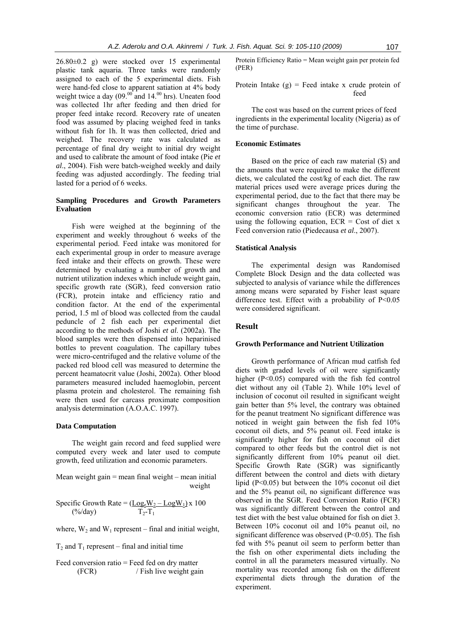26.80±0.2 g) were stocked over 15 experimental plastic tank aquaria. Three tanks were randomly assigned to each of the 5 experimental diets. Fish were hand-fed close to apparent satiation at 4% body weight twice a day  $(09.^{00}$  and  $14.^{00}$  hrs). Uneaten food was collected 1hr after feeding and then dried for proper feed intake record. Recovery rate of uneaten food was assumed by placing weighed feed in tanks without fish for 1h. It was then collected, dried and weighed. The recovery rate was calculated as percentage of final dry weight to initial dry weight and used to calibrate the amount of food intake (Pie *et al*., 2004). Fish were batch-weighed weekly and daily feeding was adjusted accordingly. The feeding trial lasted for a period of 6 weeks.

### **Sampling Procedures and Growth Parameters Evaluation**

Fish were weighed at the beginning of the experiment and weekly throughout 6 weeks of the experimental period. Feed intake was monitored for each experimental group in order to measure average feed intake and their effects on growth. These were determined by evaluating a number of growth and nutrient utilization indexes which include weight gain, specific growth rate (SGR), feed conversion ratio (FCR), protein intake and efficiency ratio and condition factor. At the end of the experimental period, 1.5 ml of blood was collected from the caudal peduncle of 2 fish each per experimental diet according to the methods of Joshi *et al*. (2002a). The blood samples were then dispensed into heparinised bottles to prevent coagulation. The capillary tubes were micro-centrifuged and the relative volume of the packed red blood cell was measured to determine the percent heamatocrit value (Joshi, 2002a). Other blood parameters measured included haemoglobin, percent plasma protein and cholesterol. The remaining fish were then used for carcass proximate composition analysis determination (A.O.A.C. 1997).

### **Data Computation**

The weight gain record and feed supplied were computed every week and later used to compute growth, feed utilization and economic parameters.

Mean weight gain  $=$  mean final weight  $-$  mean initial weight

Specific Growth Rate = 
$$
\frac{(\underline{Log_eW_2} - \underline{LogW_1})}{T_2 - T_1} \times 100
$$

where,  $W_2$  and  $W_1$  represent – final and initial weight,

 $T_2$  and  $T_1$  represent – final and initial time

Feed conversion ratio = Feed fed on dry matter (FCR) / Fish live weight gain Protein Efficiency Ratio = Mean weight gain per protein fed (PER)

Protein Intake  $(g)$  = Feed intake x crude protein of feed

The cost was based on the current prices of feed ingredients in the experimental locality (Nigeria) as of the time of purchase.

# **Economic Estimates**

Based on the price of each raw material (\$) and the amounts that were required to make the different diets, we calculated the cost/kg of each diet. The raw material prices used were average prices during the experimental period, due to the fact that there may be significant changes throughout the year. The economic conversion ratio (ECR) was determined using the following equation,  $ECR = Cost of diet x$ Feed conversion ratio (Piedecausa *et al*., 2007).

# **Statistical Analysis**

The experimental design was Randomised Complete Block Design and the data collected was subjected to analysis of variance while the differences among means were separated by Fisher least square difference test. Effect with a probability of  $P<0.05$ were considered significant.

# **Result**

### **Growth Performance and Nutrient Utilization**

Growth performance of African mud catfish fed diets with graded levels of oil were significantly higher  $(P<0.05)$  compared with the fish fed control diet without any oil (Table 2). While 10% level of inclusion of coconut oil resulted in significant weight gain better than 5% level, the contrary was obtained for the peanut treatment No significant difference was noticed in weight gain between the fish fed 10% coconut oil diets, and 5% peanut oil. Feed intake is significantly higher for fish on coconut oil diet compared to other feeds but the control diet is not significantly different from 10% peanut oil diet. Specific Growth Rate (SGR) was significantly different between the control and diets with dietary lipid (P<0.05) but between the 10% coconut oil diet and the 5% peanut oil, no significant difference was observed in the SGR. Feed Conversion Ratio (FCR) was significantly different between the control and test diet with the best value obtained for fish on diet 3. Between 10% coconut oil and 10% peanut oil, no significant difference was observed  $(P<0.05)$ . The fish fed with 5% peanut oil seem to perform better than the fish on other experimental diets including the control in all the parameters measured virtually. No mortality was recorded among fish on the different experimental diets through the duration of the experiment.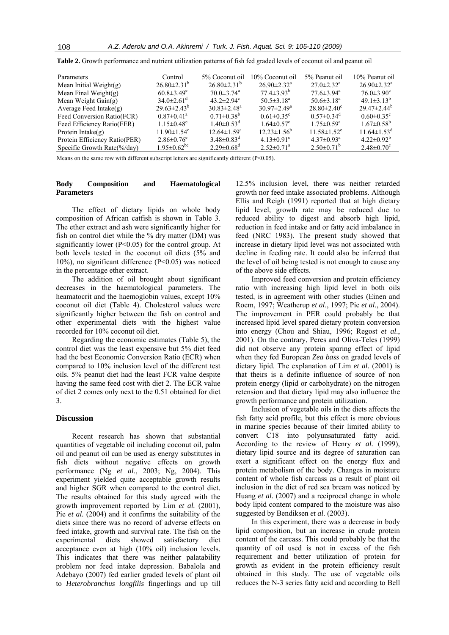| <b>Parameters</b>             | Control                       | 5% Coconut oil               | 10% Coconut oil               | 5% Peanut oil                 | 10% Peanut oil                |
|-------------------------------|-------------------------------|------------------------------|-------------------------------|-------------------------------|-------------------------------|
| Mean Initial Weight $(g)$     | $26.80 \pm 2.31^b$            | $26.80 \pm 2.31^b$           | $26.90 \pm 2.32$ <sup>a</sup> | $27.0 \pm 2.32^a$             | $26.90 \pm 2.32$ <sup>a</sup> |
| Mean Final Weight $(g)$       | $60.8 \pm 3.49^e$             | $70.0 \pm 3.74$ <sup>a</sup> | $77.4 \pm 3.93^b$             | $77.6 \pm 3.94^{\circ}$       | $76.0 \pm 3.90^{\circ}$       |
| Mean Weight $Gain(g)$         | $34.0 \pm 2.61$ <sup>d</sup>  | 43.2 $\pm$ 2.94 $\text{c}$   | $50.5 \pm 3.18^a$             | 50.6 $\pm$ 3.18 <sup>a</sup>  | 49.1 $\pm$ 3.13 <sup>b</sup>  |
| Average Feed Intake $(g)$     | $29.63 \pm 2.43^b$            | $30.83 \pm 2.48^a$           | $30.97 \pm 2.49^{\circ}$      | $28.80 \pm 2.40^{\circ}$      | $29.47 \pm 2.44^b$            |
| Feed Conversion Ratio(FCR)    | $0.87 \pm 0.41$ <sup>a</sup>  | $0.71 \pm 0.38^b$            | $0.61 \pm 0.35$ <sup>c</sup>  | $0.57 \pm 0.34$ <sup>d</sup>  | $0.60 \pm 0.35$ <sup>c</sup>  |
| Feed Efficiency Ratio(FER)    | $1.15 \pm 0.48^e$             | $1.40\pm0.53^{\rm d}$        | $1.64 \pm 0.57$ <sup>c</sup>  | $1.75 \pm 0.59^a$             | $1.67 \pm 0.58^b$             |
| Protein Intake $(g)$          | $11.90 \pm 1.54$ <sup>c</sup> | $12.64 \pm 1.59^{\circ}$     | $12.23 \pm 1.56^b$            | $11.58 \pm 1.52$ <sup>e</sup> | $11.64 \pm 1.53$ <sup>d</sup> |
| Protein Efficiency Ratio(PER) | $2.86 \pm 0.76$ <sup>e</sup>  | $3.48 \pm 0.83$ <sup>d</sup> | $4.13 \pm 0.91$ <sup>c</sup>  | $4.37\pm0.93^{\text{a}}$      | $4.22 \pm 0.92^b$             |
| Specific Growth Rate(%/day)   | $1.95 \pm 0.62$ <sup>be</sup> | $2.29 \pm 0.68$ <sup>d</sup> | $2.52 \pm 0.71$ <sup>a</sup>  | $2.50\pm0.71^{b}$             | $2.48 \pm 0.70$ <sup>c</sup>  |

**Table 2.** Growth performance and nutrient utilization patterns of fish fed graded levels of coconut oil and peanut oil

Means on the same row with different subscript letters are significantly different (P<0.05).

### **Body Composition and Haematological Parameters**

The effect of dietary lipids on whole body composition of African catfish is shown in Table 3. The ether extract and ash were significantly higher for fish on control diet while the % dry matter (DM) was significantly lower ( $P \le 0.05$ ) for the control group. At both levels tested in the coconut oil diets (5% and 10%), no significant difference (P<0.05) was noticed in the percentage ether extract.

The addition of oil brought about significant decreases in the haematological parameters. The heamatocrit and the haemoglobin values, except 10% coconut oil diet (Table 4). Cholesterol values were significantly higher between the fish on control and other experimental diets with the highest value recorded for 10% coconut oil diet.

Regarding the economic estimates (Table 5), the control diet was the least expensive but 5% diet feed had the best Economic Conversion Ratio (ECR) when compared to 10% inclusion level of the different test oils. 5% peanut diet had the least FCR value despite having the same feed cost with diet 2. The ECR value of diet 2 comes only next to the 0.51 obtained for diet 3.

### **Discussion**

Recent research has shown that substantial quantities of vegetable oil including coconut oil, palm oil and peanut oil can be used as energy substitutes in fish diets without negative effects on growth performance (Ng *et al*., 2003; Ng, 2004). This experiment yielded quite acceptable growth results and higher SGR when compared to the control diet. The results obtained for this study agreed with the growth improvement reported by Lim *et al.* (2001), Pie *et al.* (2004) and it confirms the suitability of the diets since there was no record of adverse effects on feed intake, growth and survival rate. The fish on the experimental diets showed satisfactory diet acceptance even at high (10% oil) inclusion levels. This indicates that there was neither palatability problem nor feed intake depression. Babalola and Adebayo (2007) fed earlier graded levels of plant oil to *Heterobranchus longfilis* fingerlings and up till

12.5% inclusion level, there was neither retarded growth nor feed intake associated problems. Although Ellis and Reigh (1991) reported that at high dietary lipid level, growth rate may be reduced due to reduced ability to digest and absorb high lipid, reduction in feed intake and or fatty acid imbalance in feed (NRC 1983). The present study showed that increase in dietary lipid level was not associated with decline in feeding rate. It could also be inferred that the level of oil being tested is not enough to cause any of the above side effects.

Improved feed conversion and protein efficiency ratio with increasing high lipid level in both oils tested, is in agreement with other studies (Einen and Roem, 1997; Weatherup *et al*., 1997; Pie *et al*., 2004). The improvement in PER could probably be that increased lipid level spared dietary protein conversion into energy (Chou and Shiau, 1996; Regost *et al*., 2001). On the contrary, Peres and Oliva-Teles (1999) did not observe any protein sparing effect of lipid when they fed European *Zea bass* on graded levels of dietary lipid. The explanation of Lim *et al.* (2001) is that theirs is a definite influence of source of non protein energy (lipid or carbohydrate) on the nitrogen retension and that dietary lipid may also influence the growth performance and protein utilization.

Inclusion of vegetable oils in the diets affects the fish fatty acid profile, but this effect is more obvious in marine species because of their limited ability to convert C18 into polyunsaturated fatty acid. According to the review of Henry *et al.* (1999), dietary lipid source and its degree of saturation can exert a significant effect on the energy flux and protein metabolism of the body. Changes in moisture content of whole fish carcass as a result of plant oil inclusion in the diet of red sea bream was noticed by Huang *et al.* (2007) and a reciprocal change in whole body lipid content compared to the moisture was also suggested by Bendiksen *et al.* (2003).

In this experiment, there was a decrease in body lipid composition, but an increase in crude protein content of the carcass. This could probably be that the quantity of oil used is not in excess of the fish requirement and better utilization of protein for growth as evident in the protein efficiency result obtained in this study. The use of vegetable oils reduces the N-3 series fatty acid and according to Bell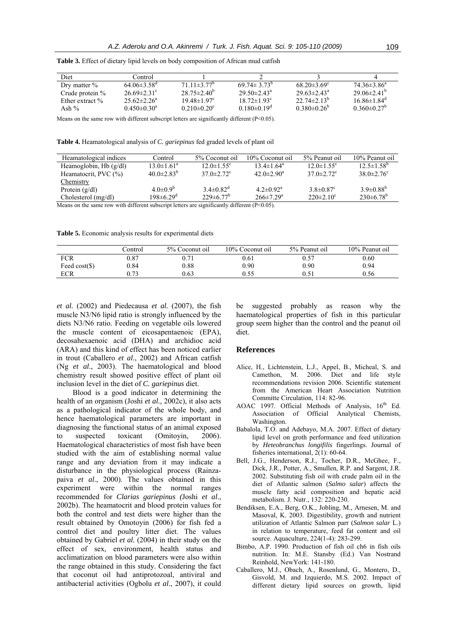| Diet               | Control                       |                                |                               |                               |                               |
|--------------------|-------------------------------|--------------------------------|-------------------------------|-------------------------------|-------------------------------|
| Drv matter $\%$    | $64.06\pm3.58$ <sup>d</sup>   | $71.11\pm3.77$ <sup>b</sup>    | 69 74 ± 3 73 <sup>b</sup>     | $68.20 \pm 3.69$ <sup>c</sup> | $74.36\pm3.86^a$              |
| Crude protein $\%$ | $26.69 \pm 2.31$ °            | $28.75 \pm 2.40^{\circ}$       | $29.50 \pm 2.43^{\circ}$      | $29.63 \pm 2.43^{\text{a}}$   | $29.06 + 2.41$ <sup>b</sup>   |
| Ether extract %    | $25.62 \pm 2.26^a$            | 19 48 $\pm$ 1 97 $\textdegree$ | $18.72 \pm 1.93$ <sup>c</sup> | $22.74\pm2.13^{6}$            | $16.86 \pm 1.84$ <sup>d</sup> |
| Ash $\%$           | $0.450 \pm 0.30$ <sup>a</sup> | $0.210 \pm 0.20$ <sup>c</sup>  | $0.180 \pm 0.19$ <sup>d</sup> | $0.380 \pm 0.26$ <sup>b</sup> | $0.360 \pm 0.27$ <sup>b</sup> |

**Table 3.** Effect of dietary lipid levels on body composition of African mud catfish

Means on the same row with different subscript letters are significantly different (P<0.05).

**Table 4.** Heamatological analysis of *C. gariepinus* fed graded levels of plant oil

| Heamatological indices                                                                        | Control                     | 5% Coconut oil               | 10% Coconut oil              | 5% Peanut oil                | 10% Peanut oil               |
|-----------------------------------------------------------------------------------------------|-----------------------------|------------------------------|------------------------------|------------------------------|------------------------------|
| Heamoglobin, Hb $(g/dl)$                                                                      | $13.0 \pm 1.61^a$           | $12.0 \pm 1.55$ <sup>c</sup> | $13.4 \pm 1.64^{\circ}$      | $12.0 \pm 1.55$ <sup>c</sup> | $12.5 \pm 1.58^b$            |
| Heamatocrit, PVC (%)                                                                          | $40.0 \pm 2.83^b$           | $37.0 \pm 2.72$ <sup>c</sup> | $42.0 \pm 2.90$ <sup>a</sup> | $37.0 \pm 2.72$ <sup>c</sup> | $38.0 \pm 2.76$ <sup>c</sup> |
| Chemistry                                                                                     |                             |                              |                              |                              |                              |
| Protein $(g/dl)$                                                                              | $4.0\pm0.9^{b}$             | $3.4 \pm 0.82$ <sup>d</sup>  | $4.2 \pm 0.92$ <sup>a</sup>  | $3.8 \pm 0.87$ <sup>c</sup>  | $3.9 \pm 0.88^{b}$           |
| $Cholesterol$ (mg/dl)                                                                         | $198 \pm 6.29$ <sup>d</sup> | $229 \pm 6.77^b$             | $266 \pm 7.29$ <sup>a</sup>  | $220 \pm 2.10^{\circ}$       | $230\pm6.78^b$               |
| Means on the same row with different subscript letters are significantly different $(D<0.05)$ |                             |                              |                              |                              |                              |

Means on the same row with different subscript letters are significantly different  $(P<0.05)$ .

**Table 5.** Economic analysis results for experimental diets

|                  | Control | 5% Coconut oil | 10% Coconut oil | 5% Peanut oil | 10% Peanut oil |
|------------------|---------|----------------|-----------------|---------------|----------------|
| FCR              | 0.87    | $0.71\,$       | 0.61            | 0.57          | 0.60           |
| Feed $cost(\$))$ | 0.84    | 0.88           | 0.90            | 0.90          | 0.94           |
| <b>ECR</b>       | ).73    | 0.63           | 0.55            | 0.51          | 0.56           |

*et al.* (2002) and Piedecausa *et al.* (2007), the fish muscle N3/N6 lipid ratio is strongly influenced by the diets N3/N6 ratio. Feeding on vegetable oils lowered the muscle content of eicosapentaenoic (EPA), decosahexaenoic acid (DHA) and archidioc acid (ARA) and this kind of effect has been noticed earlier in trout (Caballero *et al*., 2002) and African catfish (Ng *et al*., 2003). The haematological and blood chemistry result showed positive effect of plant oil inclusion level in the diet of *C. gariepinus* diet.

Blood is a good indicator in determining the health of an organism (Joshi *et al.,* 2002c), it also acts as a pathological indicator of the whole body, and hence haematological parameters are important in diagnosing the functional status of an animal exposed to suspected toxicant (Omitoyin, 2006). Haematological characteristics of most fish have been studied with the aim of establishing normal value range and any deviation from it may indicate a disturbance in the physiological process (Rainzapaiva *et al*., 2000). The values obtained in this experiment were within the normal ranges recommended for *Clarias gariepinus (*Joshi *et al*., 2002b). The heamatocrit and blood protein values for both the control and test diets were higher than the result obtained by Omotoyin (2006) for fish fed a control diet and poultry litter diet. The values obtained by Gabriel *et al.* (2004) in their study on the effect of sex, environment, health status and acclimatization on blood parameters were also within the range obtained in this study. Considering the fact that coconut oil had antiprotozoal, antiviral and antibacterial activities (Ogbolu *et al*., 2007), it could

be suggested probably as reason why the haematological properties of fish in this particular group seem higher than the control and the peanut oil diet.

#### **References**

- Alice, H., Lichtenstein, L.J., Appel, B., Micheal, S. and Camethon, M. 2006. Diet and life style recommendations revision 2006. Scientific statement from the American Heart Association Nutrition Committe Circulation, 114: 82-96.
- AOAC 1997. Official Methods of Analysis, 16<sup>th</sup> Ed. Association of Official Analytical Chemists, Washington.
- Babalola, T.O. and Adebayo, M.A. 2007. Effect of dietary lipid level on groth performance and feed utilization by *Heteobranchus longifilis* fingerlings. Journal of fisheries international, 2(1): 60-64.
- Bell, J.G., Henderson, R.J., Tocher, D.R., McGhee, F., Dick, J.R., Potter, A., Smullen, R.P. and Sargent, J.R. 2002. Substituting fish oil with crude palm oil in the diet of Atlantic salmon (*Salmo salar*) affects the muscle fatty acid composition and hepatic acid metabolism. J. Nutr., 132: 220-230.
- Bendiksen, E.A., Berg, O.K., Jobling, M., Arnesen, M. and Masoval, K. 2003. Digestibility, growth and nutrient utilization of Atlantic Salmon parr (*Salmon salar* L.) in relation to temperature, feed fat content and oil source. Aquaculture, 224(1-4): 283-299.
- Bimbo, A.P. 1990. Production of fish oil ch6 in fish oils nutrition. In: M.E. Stansby (Ed.) Van Nostrand Reinhold, NewYork: 141-180.
- Caballero, M.J., Obach, A., Rosenlund, G., Montero, D., Gisvold, M. and Izquierdo, M.S. 2002. Impact of different dietary lipid sources on growth, lipid